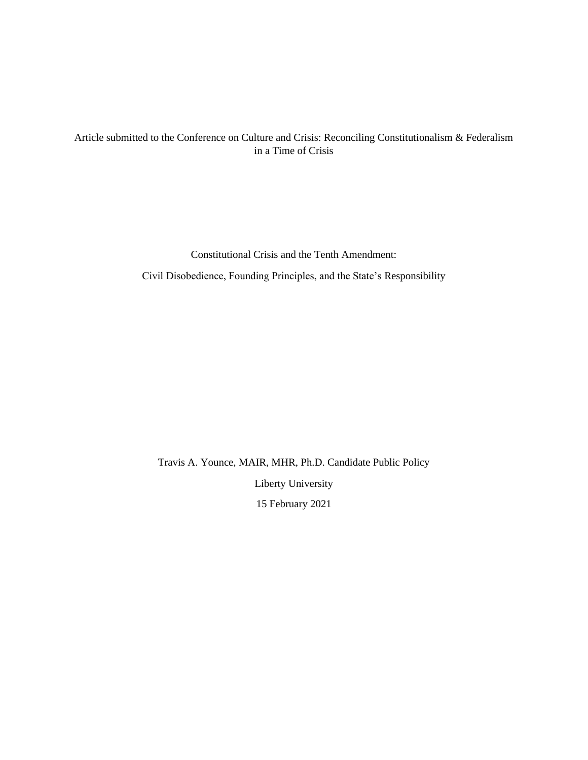# Article submitted to the Conference on Culture and Crisis: Reconciling Constitutionalism & Federalism in a Time of Crisis

Constitutional Crisis and the Tenth Amendment: Civil Disobedience, Founding Principles, and the State's Responsibility

Travis A. Younce, MAIR, MHR, Ph.D. Candidate Public Policy Liberty University 15 February 2021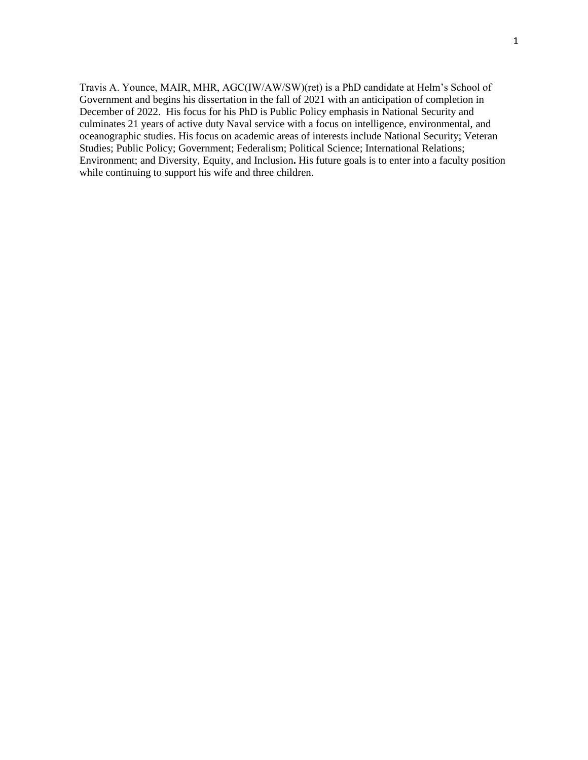Travis A. Younce, MAIR, MHR, AGC(IW/AW/SW)(ret) is a PhD candidate at Helm's School of Government and begins his dissertation in the fall of 2021 with an anticipation of completion in December of 2022. His focus for his PhD is Public Policy emphasis in National Security and culminates 21 years of active duty Naval service with a focus on intelligence, environmental, and oceanographic studies. His focus on academic areas of interests include National Security; Veteran Studies; Public Policy; Government; Federalism; Political Science; International Relations; Environment; and Diversity, Equity, and Inclusion**.** His future goals is to enter into a faculty position while continuing to support his wife and three children.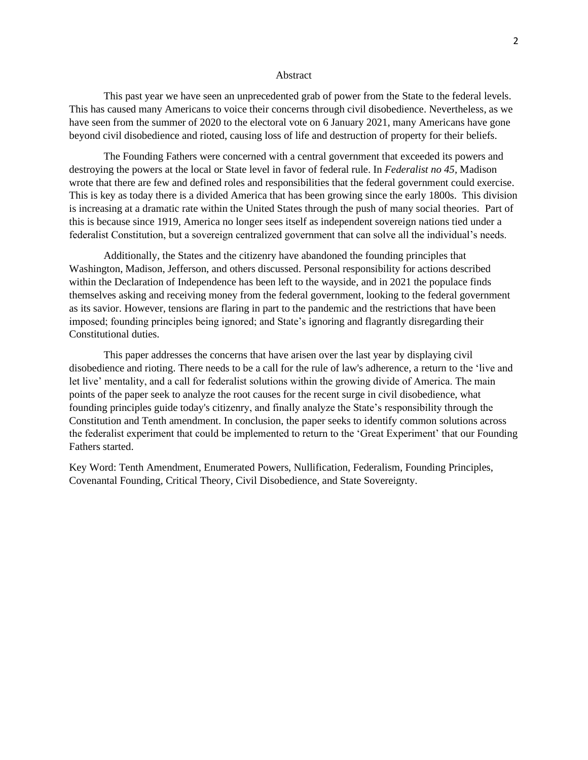#### Abstract

This past year we have seen an unprecedented grab of power from the State to the federal levels. This has caused many Americans to voice their concerns through civil disobedience. Nevertheless, as we have seen from the summer of 2020 to the electoral vote on 6 January 2021, many Americans have gone beyond civil disobedience and rioted, causing loss of life and destruction of property for their beliefs.

The Founding Fathers were concerned with a central government that exceeded its powers and destroying the powers at the local or State level in favor of federal rule. In *Federalist no 45,* Madison wrote that there are few and defined roles and responsibilities that the federal government could exercise. This is key as today there is a divided America that has been growing since the early 1800s. This division is increasing at a dramatic rate within the United States through the push of many social theories. Part of this is because since 1919, America no longer sees itself as independent sovereign nations tied under a federalist Constitution, but a sovereign centralized government that can solve all the individual's needs.

Additionally, the States and the citizenry have abandoned the founding principles that Washington, Madison, Jefferson, and others discussed. Personal responsibility for actions described within the Declaration of Independence has been left to the wayside, and in 2021 the populace finds themselves asking and receiving money from the federal government, looking to the federal government as its savior. However, tensions are flaring in part to the pandemic and the restrictions that have been imposed; founding principles being ignored; and State's ignoring and flagrantly disregarding their Constitutional duties.

This paper addresses the concerns that have arisen over the last year by displaying civil disobedience and rioting. There needs to be a call for the rule of law's adherence, a return to the 'live and let live' mentality, and a call for federalist solutions within the growing divide of America. The main points of the paper seek to analyze the root causes for the recent surge in civil disobedience, what founding principles guide today's citizenry, and finally analyze the State's responsibility through the Constitution and Tenth amendment. In conclusion, the paper seeks to identify common solutions across the federalist experiment that could be implemented to return to the 'Great Experiment' that our Founding Fathers started.

Key Word: Tenth Amendment, Enumerated Powers, Nullification, Federalism, Founding Principles, Covenantal Founding, Critical Theory, Civil Disobedience, and State Sovereignty.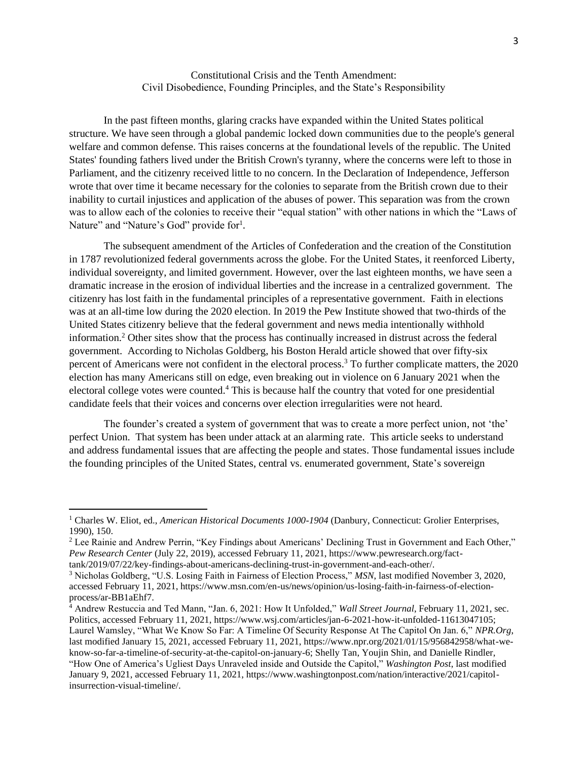Constitutional Crisis and the Tenth Amendment: Civil Disobedience, Founding Principles, and the State's Responsibility

In the past fifteen months, glaring cracks have expanded within the United States political structure. We have seen through a global pandemic locked down communities due to the people's general welfare and common defense. This raises concerns at the foundational levels of the republic. The United States' founding fathers lived under the British Crown's tyranny, where the concerns were left to those in Parliament, and the citizenry received little to no concern. In the Declaration of Independence, Jefferson wrote that over time it became necessary for the colonies to separate from the British crown due to their inability to curtail injustices and application of the abuses of power. This separation was from the crown was to allow each of the colonies to receive their "equal station" with other nations in which the "Laws of Nature" and "Nature's God" provide for<sup>1</sup>.

The subsequent amendment of the Articles of Confederation and the creation of the Constitution in 1787 revolutionized federal governments across the globe. For the United States, it reenforced Liberty, individual sovereignty, and limited government. However, over the last eighteen months, we have seen a dramatic increase in the erosion of individual liberties and the increase in a centralized government. The citizenry has lost faith in the fundamental principles of a representative government. Faith in elections was at an all-time low during the 2020 election. In 2019 the Pew Institute showed that two-thirds of the United States citizenry believe that the federal government and news media intentionally withhold information.<sup>2</sup> Other sites show that the process has continually increased in distrust across the federal government. According to Nicholas Goldberg, his Boston Herald article showed that over fifty-six percent of Americans were not confident in the electoral process.<sup>3</sup> To further complicate matters, the 2020 election has many Americans still on edge, even breaking out in violence on 6 January 2021 when the electoral college votes were counted.<sup>4</sup> This is because half the country that voted for one presidential candidate feels that their voices and concerns over election irregularities were not heard.

The founder's created a system of government that was to create a more perfect union, not 'the' perfect Union. That system has been under attack at an alarming rate. This article seeks to understand and address fundamental issues that are affecting the people and states. Those fundamental issues include the founding principles of the United States, central vs. enumerated government, State's sovereign

<sup>1</sup> Charles W. Eliot, ed., *American Historical Documents 1000-1904* (Danbury, Connecticut: Grolier Enterprises, 1990), 150.

<sup>&</sup>lt;sup>2</sup> Lee Rainie and Andrew Perrin, "Key Findings about Americans' Declining Trust in Government and Each Other," *Pew Research Center* (July 22, 2019), accessed February 11, 2021, https://www.pewresearch.org/facttank/2019/07/22/key-findings-about-americans-declining-trust-in-government-and-each-other/.

<sup>3</sup> Nicholas Goldberg, "U.S. Losing Faith in Fairness of Election Process," *MSN*, last modified November 3, 2020, accessed February 11, 2021, https://www.msn.com/en-us/news/opinion/us-losing-faith-in-fairness-of-electionprocess/ar-BB1aEhf7.

<sup>4</sup> Andrew Restuccia and Ted Mann, "Jan. 6, 2021: How It Unfolded," *Wall Street Journal*, February 11, 2021, sec. Politics, accessed February 11, 2021, https://www.wsj.com/articles/jan-6-2021-how-it-unfolded-11613047105; Laurel Wamsley, "What We Know So Far: A Timeline Of Security Response At The Capitol On Jan. 6," *NPR.Org*, last modified January 15, 2021, accessed February 11, 2021, https://www.npr.org/2021/01/15/956842958/what-weknow-so-far-a-timeline-of-security-at-the-capitol-on-january-6; Shelly Tan, Youjin Shin, and Danielle Rindler, "How One of America's Ugliest Days Unraveled inside and Outside the Capitol," *Washington Post*, last modified January 9, 2021, accessed February 11, 2021, https://www.washingtonpost.com/nation/interactive/2021/capitolinsurrection-visual-timeline/.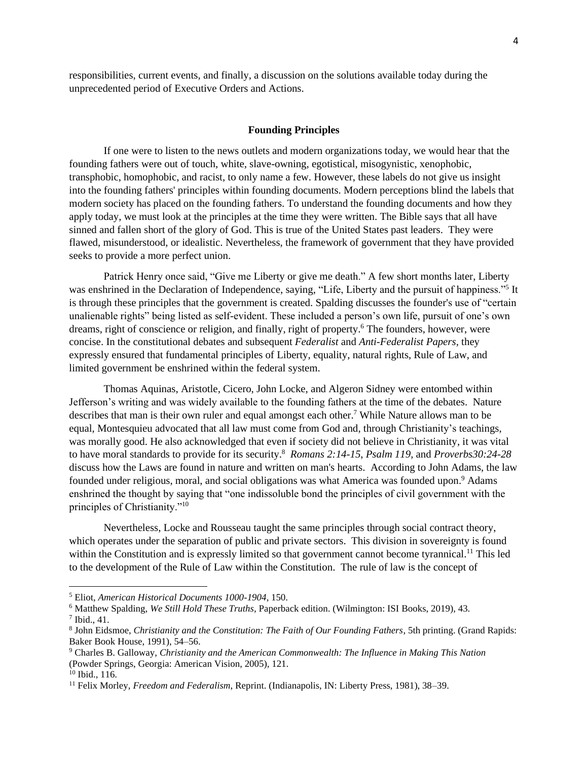responsibilities, current events, and finally, a discussion on the solutions available today during the unprecedented period of Executive Orders and Actions.

### **Founding Principles**

If one were to listen to the news outlets and modern organizations today, we would hear that the founding fathers were out of touch, white, slave-owning, egotistical, misogynistic, xenophobic, transphobic, homophobic, and racist, to only name a few. However, these labels do not give us insight into the founding fathers' principles within founding documents. Modern perceptions blind the labels that modern society has placed on the founding fathers. To understand the founding documents and how they apply today, we must look at the principles at the time they were written. The Bible says that all have sinned and fallen short of the glory of God. This is true of the United States past leaders. They were flawed, misunderstood, or idealistic. Nevertheless, the framework of government that they have provided seeks to provide a more perfect union.

Patrick Henry once said, "Give me Liberty or give me death." A few short months later, Liberty was enshrined in the Declaration of Independence, saying, "Life, Liberty and the pursuit of happiness."<sup>5</sup> It is through these principles that the government is created. Spalding discusses the founder's use of "certain unalienable rights" being listed as self-evident. These included a person's own life, pursuit of one's own dreams, right of conscience or religion, and finally, right of property.<sup>6</sup> The founders, however, were concise. In the constitutional debates and subsequent *Federalist* and *Anti-Federalist Papers,* they expressly ensured that fundamental principles of Liberty, equality, natural rights, Rule of Law, and limited government be enshrined within the federal system.

Thomas Aquinas, Aristotle, Cicero, John Locke, and Algeron Sidney were entombed within Jefferson's writing and was widely available to the founding fathers at the time of the debates. Nature describes that man is their own ruler and equal amongst each other.<sup>7</sup> While Nature allows man to be equal, Montesquieu advocated that all law must come from God and, through Christianity's teachings, was morally good. He also acknowledged that even if society did not believe in Christianity, it was vital to have moral standards to provide for its security.<sup>8</sup> *Romans 2:14-15*, *Psalm 119,* and *Proverbs30:24-28* discuss how the Laws are found in nature and written on man's hearts. According to John Adams, the law founded under religious, moral, and social obligations was what America was founded upon.<sup>9</sup> Adams enshrined the thought by saying that "one indissoluble bond the principles of civil government with the principles of Christianity."<sup>10</sup>

Nevertheless, Locke and Rousseau taught the same principles through social contract theory, which operates under the separation of public and private sectors. This division in sovereignty is found within the Constitution and is expressly limited so that government cannot become tyrannical.<sup>11</sup> This led to the development of the Rule of Law within the Constitution. The rule of law is the concept of

<sup>5</sup> Eliot, *American Historical Documents 1000-1904*, 150.

<sup>6</sup> Matthew Spalding, *We Still Hold These Truths*, Paperback edition. (Wilmington: ISI Books, 2019), 43.

 $<sup>7</sup>$  Ibid., 41.</sup>

<sup>8</sup> John Eidsmoe, *Christianity and the Constitution: The Faith of Our Founding Fathers*, 5th printing. (Grand Rapids: Baker Book House, 1991), 54–56.

<sup>9</sup> Charles B. Galloway, *Christianity and the American Commonwealth: The Influence in Making This Nation* (Powder Springs, Georgia: American Vision, 2005), 121.

 $10$  Ibid., 116.

<sup>11</sup> Felix Morley, *Freedom and Federalism*, Reprint. (Indianapolis, IN: Liberty Press, 1981), 38–39.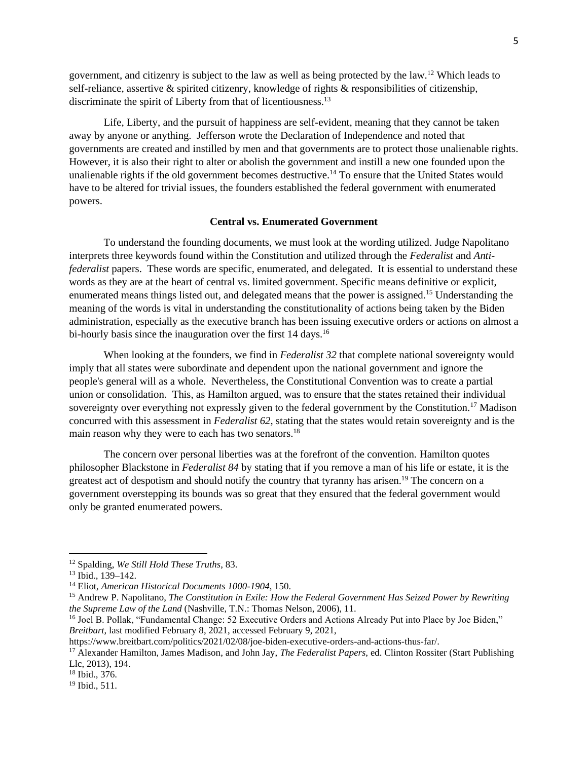government, and citizenry is subject to the law as well as being protected by the law.<sup>12</sup> Which leads to self-reliance, assertive & spirited citizenry, knowledge of rights & responsibilities of citizenship, discriminate the spirit of Liberty from that of licentiousness.<sup>13</sup>

Life, Liberty, and the pursuit of happiness are self-evident, meaning that they cannot be taken away by anyone or anything. Jefferson wrote the Declaration of Independence and noted that governments are created and instilled by men and that governments are to protect those unalienable rights. However, it is also their right to alter or abolish the government and instill a new one founded upon the unalienable rights if the old government becomes destructive.<sup>14</sup> To ensure that the United States would have to be altered for trivial issues, the founders established the federal government with enumerated powers.

### **Central vs. Enumerated Government**

To understand the founding documents, we must look at the wording utilized. Judge Napolitano interprets three keywords found within the Constitution and utilized through the *Federalist* and *Antifederalist* papers. These words are specific, enumerated, and delegated. It is essential to understand these words as they are at the heart of central vs. limited government. Specific means definitive or explicit, enumerated means things listed out, and delegated means that the power is assigned.<sup>15</sup> Understanding the meaning of the words is vital in understanding the constitutionality of actions being taken by the Biden administration, especially as the executive branch has been issuing executive orders or actions on almost a bi-hourly basis since the inauguration over the first 14 days.<sup>16</sup>

When looking at the founders, we find in *Federalist 32* that complete national sovereignty would imply that all states were subordinate and dependent upon the national government and ignore the people's general will as a whole. Nevertheless, the Constitutional Convention was to create a partial union or consolidation. This, as Hamilton argued, was to ensure that the states retained their individual sovereignty over everything not expressly given to the federal government by the Constitution.<sup>17</sup> Madison concurred with this assessment in *Federalist 62,* stating that the states would retain sovereignty and is the main reason why they were to each has two senators.<sup>18</sup>

The concern over personal liberties was at the forefront of the convention. Hamilton quotes philosopher Blackstone in *Federalist 84* by stating that if you remove a man of his life or estate, it is the greatest act of despotism and should notify the country that tyranny has arisen.<sup>19</sup> The concern on a government overstepping its bounds was so great that they ensured that the federal government would only be granted enumerated powers.

<sup>12</sup> Spalding, *We Still Hold These Truths*, 83.

<sup>13</sup> Ibid., 139–142.

<sup>14</sup> Eliot, *American Historical Documents 1000-1904*, 150.

<sup>15</sup> Andrew P. Napolitano, *The Constitution in Exile: How the Federal Government Has Seized Power by Rewriting the Supreme Law of the Land* (Nashville, T.N.: Thomas Nelson, 2006), 11.

<sup>&</sup>lt;sup>16</sup> Joel B. Pollak, "Fundamental Change: 52 Executive Orders and Actions Already Put into Place by Joe Biden," *Breitbart*, last modified February 8, 2021, accessed February 9, 2021,

https://www.breitbart.com/politics/2021/02/08/joe-biden-executive-orders-and-actions-thus-far/.

<sup>17</sup> Alexander Hamilton, James Madison, and John Jay, *The Federalist Papers*, ed. Clinton Rossiter (Start Publishing Llc, 2013), 194.

<sup>18</sup> Ibid., 376.

<sup>19</sup> Ibid., 511.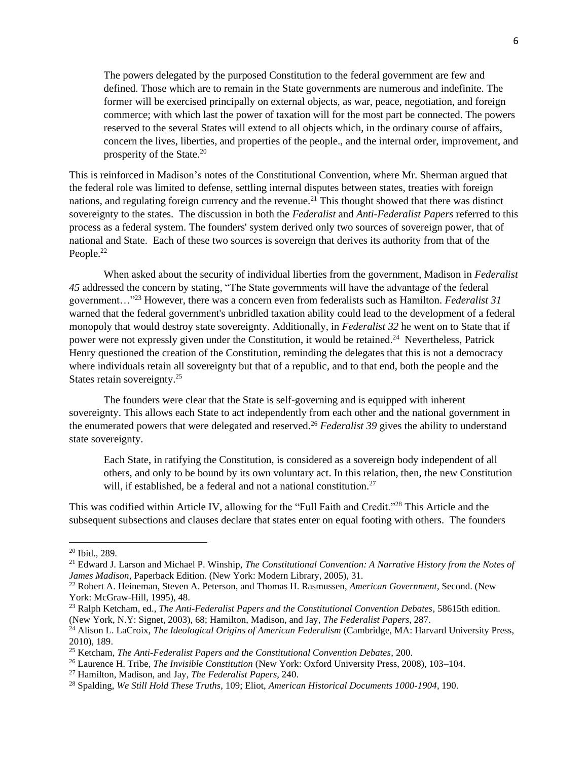The powers delegated by the purposed Constitution to the federal government are few and defined. Those which are to remain in the State governments are numerous and indefinite. The former will be exercised principally on external objects, as war, peace, negotiation, and foreign commerce; with which last the power of taxation will for the most part be connected. The powers reserved to the several States will extend to all objects which, in the ordinary course of affairs, concern the lives, liberties, and properties of the people., and the internal order, improvement, and prosperity of the State.<sup>20</sup>

This is reinforced in Madison's notes of the Constitutional Convention, where Mr. Sherman argued that the federal role was limited to defense, settling internal disputes between states, treaties with foreign nations, and regulating foreign currency and the revenue.<sup>21</sup> This thought showed that there was distinct sovereignty to the states. The discussion in both the *Federalist* and *Anti-Federalist Papers* referred to this process as a federal system. The founders' system derived only two sources of sovereign power, that of national and State. Each of these two sources is sovereign that derives its authority from that of the People.<sup>22</sup>

When asked about the security of individual liberties from the government, Madison in *Federalist 45* addressed the concern by stating, "The State governments will have the advantage of the federal government…" <sup>23</sup> However, there was a concern even from federalists such as Hamilton. *Federalist 31* warned that the federal government's unbridled taxation ability could lead to the development of a federal monopoly that would destroy state sovereignty. Additionally, in *Federalist 32* he went on to State that if power were not expressly given under the Constitution, it would be retained.<sup>24</sup> Nevertheless, Patrick Henry questioned the creation of the Constitution, reminding the delegates that this is not a democracy where individuals retain all sovereignty but that of a republic, and to that end, both the people and the States retain sovereignty.<sup>25</sup>

The founders were clear that the State is self-governing and is equipped with inherent sovereignty. This allows each State to act independently from each other and the national government in the enumerated powers that were delegated and reserved. <sup>26</sup> *Federalist 39* gives the ability to understand state sovereignty.

Each State, in ratifying the Constitution, is considered as a sovereign body independent of all others, and only to be bound by its own voluntary act. In this relation, then, the new Constitution will, if established, be a federal and not a national constitution.<sup>27</sup>

This was codified within Article IV, allowing for the "Full Faith and Credit."<sup>28</sup> This Article and the subsequent subsections and clauses declare that states enter on equal footing with others. The founders

<sup>20</sup> Ibid., 289.

<sup>21</sup> Edward J. Larson and Michael P. Winship, *The Constitutional Convention: A Narrative History from the Notes of James Madison*, Paperback Edition. (New York: Modern Library, 2005), 31.

<sup>22</sup> Robert A. Heineman, Steven A. Peterson, and Thomas H. Rasmussen, *American Government*, Second. (New York: McGraw-Hill, 1995), 48.

<sup>23</sup> Ralph Ketcham, ed., *The Anti-Federalist Papers and the Constitutional Convention Debates*, 58615th edition. (New York, N.Y: Signet, 2003), 68; Hamilton, Madison, and Jay, *The Federalist Papers*, 287.

<sup>&</sup>lt;sup>24</sup> Alison L. LaCroix, *The Ideological Origins of American Federalism* (Cambridge, MA: Harvard University Press, 2010), 189.

<sup>25</sup> Ketcham, *The Anti-Federalist Papers and the Constitutional Convention Debates*, 200.

<sup>26</sup> Laurence H. Tribe, *The Invisible Constitution* (New York: Oxford University Press, 2008), 103–104.

<sup>27</sup> Hamilton, Madison, and Jay, *The Federalist Papers*, 240.

<sup>28</sup> Spalding, *We Still Hold These Truths*, 109; Eliot, *American Historical Documents 1000-1904*, 190.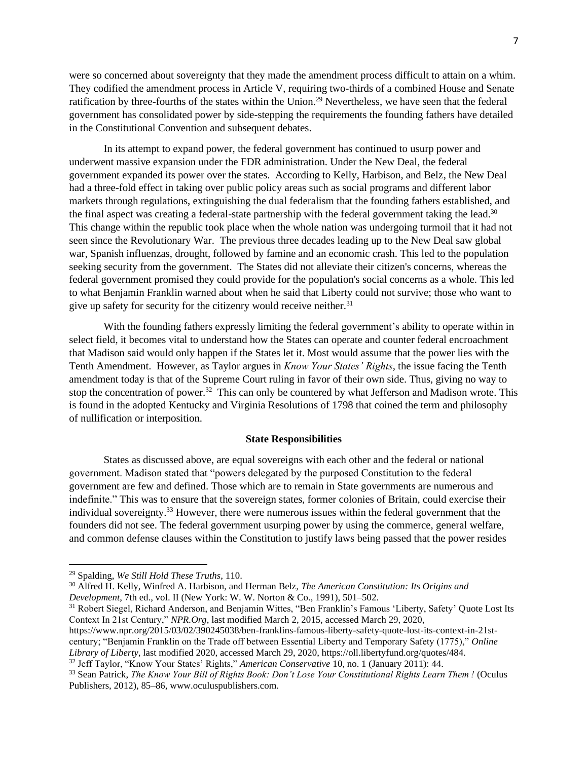were so concerned about sovereignty that they made the amendment process difficult to attain on a whim. They codified the amendment process in Article V, requiring two-thirds of a combined House and Senate ratification by three-fourths of the states within the Union.<sup>29</sup> Nevertheless, we have seen that the federal government has consolidated power by side-stepping the requirements the founding fathers have detailed in the Constitutional Convention and subsequent debates.

In its attempt to expand power, the federal government has continued to usurp power and underwent massive expansion under the FDR administration. Under the New Deal, the federal government expanded its power over the states. According to Kelly, Harbison, and Belz, the New Deal had a three-fold effect in taking over public policy areas such as social programs and different labor markets through regulations, extinguishing the dual federalism that the founding fathers established, and the final aspect was creating a federal-state partnership with the federal government taking the lead.<sup>30</sup> This change within the republic took place when the whole nation was undergoing turmoil that it had not seen since the Revolutionary War. The previous three decades leading up to the New Deal saw global war, Spanish influenzas, drought, followed by famine and an economic crash. This led to the population seeking security from the government. The States did not alleviate their citizen's concerns, whereas the federal government promised they could provide for the population's social concerns as a whole. This led to what Benjamin Franklin warned about when he said that Liberty could not survive; those who want to give up safety for security for the citizenry would receive neither.<sup>31</sup>

With the founding fathers expressly limiting the federal government's ability to operate within in select field, it becomes vital to understand how the States can operate and counter federal encroachment that Madison said would only happen if the States let it. Most would assume that the power lies with the Tenth Amendment. However, as Taylor argues in *Know Your States' Rights,* the issue facing the Tenth amendment today is that of the Supreme Court ruling in favor of their own side. Thus, giving no way to stop the concentration of power.<sup>32</sup> This can only be countered by what Jefferson and Madison wrote. This is found in the adopted Kentucky and Virginia Resolutions of 1798 that coined the term and philosophy of nullification or interposition.

### **State Responsibilities**

States as discussed above, are equal sovereigns with each other and the federal or national government. Madison stated that "powers delegated by the purposed Constitution to the federal government are few and defined. Those which are to remain in State governments are numerous and indefinite." This was to ensure that the sovereign states, former colonies of Britain, could exercise their individual sovereignty.<sup>33</sup> However, there were numerous issues within the federal government that the founders did not see. The federal government usurping power by using the commerce, general welfare, and common defense clauses within the Constitution to justify laws being passed that the power resides

<sup>31</sup> Robert Siegel, Richard Anderson, and Benjamin Wittes, "Ben Franklin's Famous 'Liberty, Safety' Quote Lost Its Context In 21st Century," *NPR.Org*, last modified March 2, 2015, accessed March 29, 2020,

https://www.npr.org/2015/03/02/390245038/ben-franklins-famous-liberty-safety-quote-lost-its-context-in-21stcentury; "Benjamin Franklin on the Trade off between Essential Liberty and Temporary Safety (1775)," *Online Library of Liberty*, last modified 2020, accessed March 29, 2020, https://oll.libertyfund.org/quotes/484.

<sup>29</sup> Spalding, *We Still Hold These Truths*, 110.

<sup>30</sup> Alfred H. Kelly, Winfred A. Harbison, and Herman Belz, *The American Constitution: Its Origins and Development*, 7th ed., vol. II (New York: W. W. Norton & Co., 1991), 501–502.

<sup>32</sup> Jeff Taylor, "Know Your States' Rights," *American Conservative* 10, no. 1 (January 2011): 44.

<sup>33</sup> Sean Patrick, *The Know Your Bill of Rights Book: Don't Lose Your Constitutional Rights Learn Them !* (Oculus Publishers, 2012), 85–86, www.oculuspublishers.com.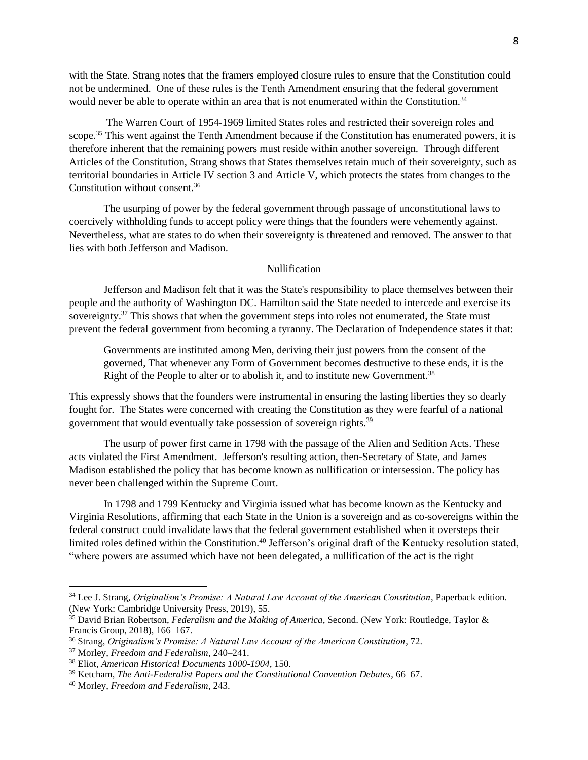with the State. Strang notes that the framers employed closure rules to ensure that the Constitution could not be undermined. One of these rules is the Tenth Amendment ensuring that the federal government would never be able to operate within an area that is not enumerated within the Constitution.<sup>34</sup>

The Warren Court of 1954-1969 limited States roles and restricted their sovereign roles and scope.<sup>35</sup> This went against the Tenth Amendment because if the Constitution has enumerated powers, it is therefore inherent that the remaining powers must reside within another sovereign. Through different Articles of the Constitution, Strang shows that States themselves retain much of their sovereignty, such as territorial boundaries in Article IV section 3 and Article V, which protects the states from changes to the Constitution without consent.<sup>36</sup>

The usurping of power by the federal government through passage of unconstitutional laws to coercively withholding funds to accept policy were things that the founders were vehemently against. Nevertheless, what are states to do when their sovereignty is threatened and removed. The answer to that lies with both Jefferson and Madison.

## Nullification

Jefferson and Madison felt that it was the State's responsibility to place themselves between their people and the authority of Washington DC. Hamilton said the State needed to intercede and exercise its sovereignty.<sup>37</sup> This shows that when the government steps into roles not enumerated, the State must prevent the federal government from becoming a tyranny. The Declaration of Independence states it that:

Governments are instituted among Men, deriving their just powers from the consent of the governed, That whenever any Form of Government becomes destructive to these ends, it is the Right of the People to alter or to abolish it, and to institute new Government.<sup>38</sup>

This expressly shows that the founders were instrumental in ensuring the lasting liberties they so dearly fought for. The States were concerned with creating the Constitution as they were fearful of a national government that would eventually take possession of sovereign rights.<sup>39</sup>

The usurp of power first came in 1798 with the passage of the Alien and Sedition Acts. These acts violated the First Amendment. Jefferson's resulting action, then-Secretary of State, and James Madison established the policy that has become known as nullification or intersession. The policy has never been challenged within the Supreme Court.

In 1798 and 1799 Kentucky and Virginia issued what has become known as the Kentucky and Virginia Resolutions, affirming that each State in the Union is a sovereign and as co-sovereigns within the federal construct could invalidate laws that the federal government established when it oversteps their limited roles defined within the Constitution.<sup>40</sup> Jefferson's original draft of the Kentucky resolution stated, "where powers are assumed which have not been delegated, a nullification of the act is the right

<sup>34</sup> Lee J. Strang, *Originalism's Promise: A Natural Law Account of the American Constitution*, Paperback edition. (New York: Cambridge University Press, 2019), 55.

<sup>35</sup> David Brian Robertson, *Federalism and the Making of America*, Second. (New York: Routledge, Taylor & Francis Group, 2018), 166–167.

<sup>36</sup> Strang, *Originalism's Promise: A Natural Law Account of the American Constitution*, 72.

<sup>37</sup> Morley, *Freedom and Federalism*, 240–241.

<sup>38</sup> Eliot, *American Historical Documents 1000-1904*, 150.

<sup>39</sup> Ketcham, *The Anti-Federalist Papers and the Constitutional Convention Debates*, 66–67.

<sup>40</sup> Morley, *Freedom and Federalism*, 243.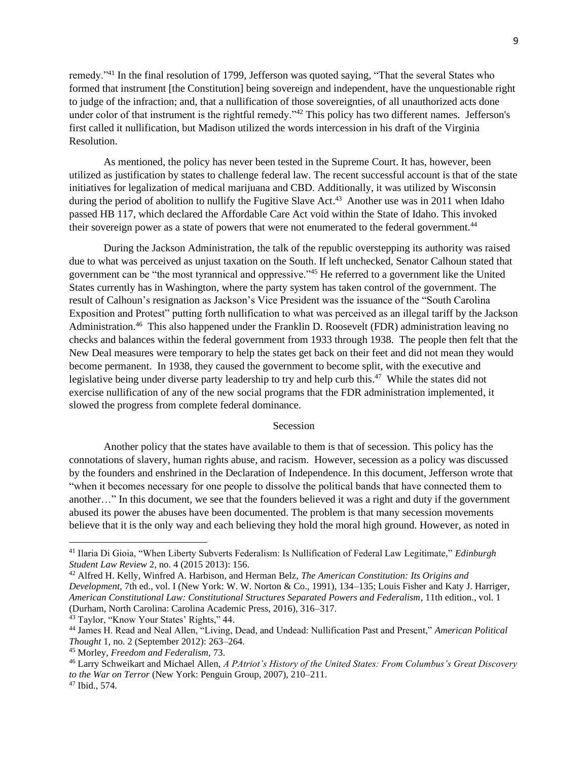remedy."<sup>41</sup> In the final resolution of 1799, Jefferson was quoted saying, "That the several States who formed that instrument [the Constitution] being sovereign and independent, have the unquestionable right to judge of the infraction; and, that a nullification of those sovereignties, of all unauthorized acts done under color of that instrument is the rightful remedy."<sup>42</sup> This policy has two different names. Jefferson's first called it nullification, but Madison utilized the words intercession in his draft of the Virginia Resolution.

As mentioned, the policy has never been tested in the Supreme Court. It has, however, been utilized as justification by states to challenge federal law. The recent successful account is that of the state initiatives for legalization of medical marijuana and CBD. Additionally, it was utilized by Wisconsin during the period of abolition to nullify the Fugitive Slave Act.<sup>43</sup> Another use was in 2011 when Idaho passed HB 117, which declared the Affordable Care Act void within the State of Idaho. This invoked their sovereign power as a state of powers that were not enumerated to the federal government.<sup>44</sup>

During the Jackson Administration, the talk of the republic overstepping its authority was raised due to what was perceived as unjust taxation on the South. If left unchecked, Senator Calhoun stated that government can be "the most tyrannical and oppressive."<sup>45</sup> He referred to a government like the United States currently has in Washington, where the party system has taken control of the government. The result of Calhoun's resignation as Jackson's Vice President was the issuance of the "South Carolina Exposition and Protest" putting forth nullification to what was perceived as an illegal tariff by the Jackson Administration.<sup>46</sup> This also happened under the Franklin D. Roosevelt (FDR) administration leaving no checks and balances within the federal government from 1933 through 1938. The people then felt that the New Deal measures were temporary to help the states get back on their feet and did not mean they would become permanent. In 1938, they caused the government to become split, with the executive and legislative being under diverse party leadership to try and help curb this.<sup>47</sup> While the states did not exercise nullification of any of the new social programs that the FDR administration implemented, it slowed the progress from complete federal dominance.

### Secession

Another policy that the states have available to them is that of secession. This policy has the connotations of slavery, human rights abuse, and racism. However, secession as a policy was discussed by the founders and enshrined in the Declaration of Independence. In this document, Jefferson wrote that "when it becomes necessary for one people to dissolve the political bands that have connected them to another…" In this document, we see that the founders believed it was a right and duty if the government abused its power the abuses have been documented. The problem is that many secession movements believe that it is the only way and each believing they hold the moral high ground. However, as noted in

<sup>41</sup> Ilaria Di Gioia, "When Liberty Subverts Federalism: Is Nullification of Federal Law Legitimate," *Edinburgh Student Law Review* 2, no. 4 (2015 2013): 156.

<sup>42</sup> Alfred H. Kelly, Winfred A. Harbison, and Herman Belz, *The American Constitution: Its Origins and Development*, 7th ed., vol. I (New York: W. W. Norton & Co., 1991), 134–135; Louis Fisher and Katy J. Harriger, *American Constitutional Law: Constitutional Structures Separated Powers and Federalism*, 11th edition., vol. 1 (Durham, North Carolina: Carolina Academic Press, 2016), 316–317.

<sup>43</sup> Taylor, "Know Your States' Rights," 44.

<sup>44</sup> James H. Read and Neal Allen, "Living, Dead, and Undead: Nullification Past and Present," *American Political Thought* 1, no. 2 (September 2012): 263–264.

<sup>45</sup> Morley, *Freedom and Federalism*, 73.

<sup>46</sup> Larry Schweikart and Michael Allen, *A PAtriot's History of the United States: From Columbus's Great Discovery to the War on Terror* (New York: Penguin Group, 2007), 210–211.

<sup>47</sup> Ibid., 574.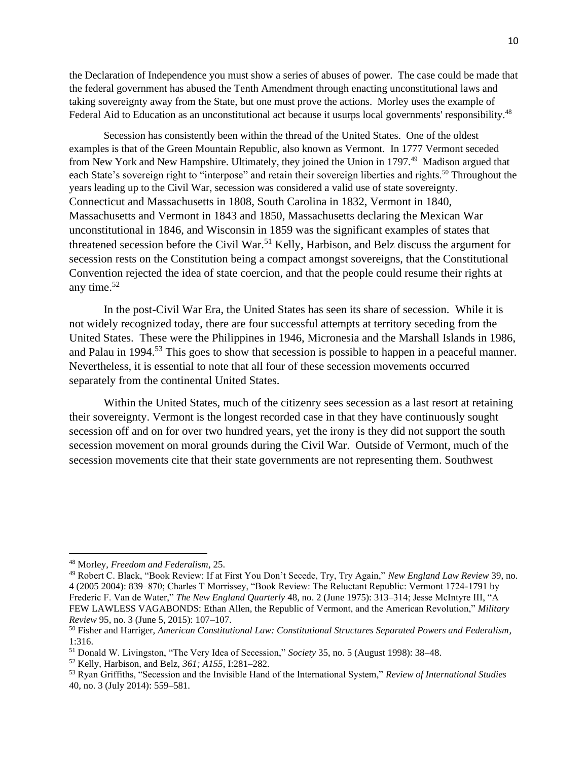the Declaration of Independence you must show a series of abuses of power. The case could be made that the federal government has abused the Tenth Amendment through enacting unconstitutional laws and taking sovereignty away from the State, but one must prove the actions. Morley uses the example of Federal Aid to Education as an unconstitutional act because it usurps local governments' responsibility.<sup>48</sup>

Secession has consistently been within the thread of the United States. One of the oldest examples is that of the Green Mountain Republic, also known as Vermont. In 1777 Vermont seceded from New York and New Hampshire. Ultimately, they joined the Union in 1797.<sup>49</sup> Madison argued that each State's sovereign right to "interpose" and retain their sovereign liberties and rights.<sup>50</sup> Throughout the years leading up to the Civil War, secession was considered a valid use of state sovereignty. Connecticut and Massachusetts in 1808, South Carolina in 1832, Vermont in 1840, Massachusetts and Vermont in 1843 and 1850, Massachusetts declaring the Mexican War unconstitutional in 1846, and Wisconsin in 1859 was the significant examples of states that threatened secession before the Civil War.<sup>51</sup> Kelly, Harbison, and Belz discuss the argument for secession rests on the Constitution being a compact amongst sovereigns, that the Constitutional Convention rejected the idea of state coercion, and that the people could resume their rights at any time. 52

In the post-Civil War Era, the United States has seen its share of secession. While it is not widely recognized today, there are four successful attempts at territory seceding from the United States. These were the Philippines in 1946, Micronesia and the Marshall Islands in 1986, and Palau in 1994.<sup>53</sup> This goes to show that secession is possible to happen in a peaceful manner. Nevertheless, it is essential to note that all four of these secession movements occurred separately from the continental United States.

Within the United States, much of the citizenry sees secession as a last resort at retaining their sovereignty. Vermont is the longest recorded case in that they have continuously sought secession off and on for over two hundred years, yet the irony is they did not support the south secession movement on moral grounds during the Civil War. Outside of Vermont, much of the secession movements cite that their state governments are not representing them. Southwest

<sup>48</sup> Morley, *Freedom and Federalism*, 25.

<sup>49</sup> Robert C. Black, "Book Review: If at First You Don't Secede, Try, Try Again," *New England Law Review* 39, no. 4 (2005 2004): 839–870; Charles T Morrissey, "Book Review: The Reluctant Republic: Vermont 1724-1791 by Frederic F. Van de Water," *The New England Quarterly* 48, no. 2 (June 1975): 313–314; Jesse McIntyre III, "A FEW LAWLESS VAGABONDS: Ethan Allen, the Republic of Vermont, and the American Revolution," *Military Review* 95, no. 3 (June 5, 2015): 107–107.

<sup>50</sup> Fisher and Harriger, *American Constitutional Law: Constitutional Structures Separated Powers and Federalism*, 1:316.

<sup>51</sup> Donald W. Livingston, "The Very Idea of Secession," *Society* 35, no. 5 (August 1998): 38–48.

<sup>52</sup> Kelly, Harbison, and Belz, *361; A155*, I:281–282.

<sup>53</sup> Ryan Griffiths, "Secession and the Invisible Hand of the International System," *Review of International Studies* 40, no. 3 (July 2014): 559–581.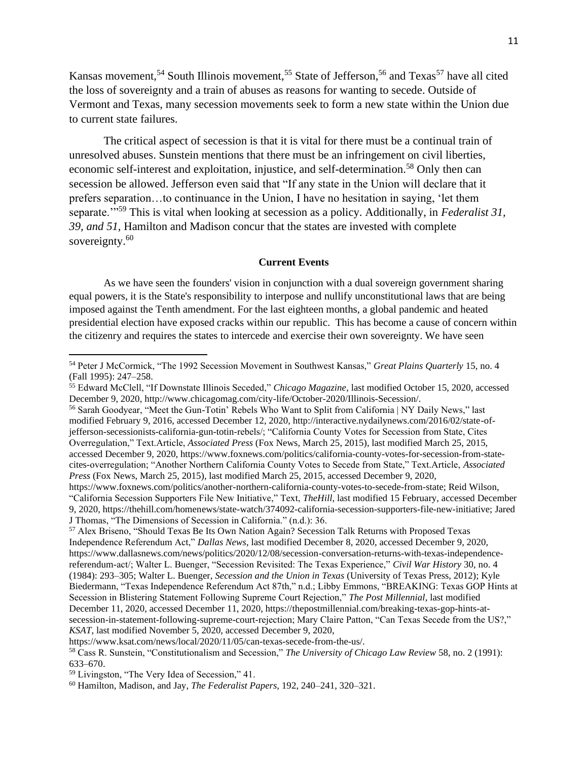Kansas movement,<sup>54</sup> South Illinois movement,<sup>55</sup> State of Jefferson,<sup>56</sup> and Texas<sup>57</sup> have all cited the loss of sovereignty and a train of abuses as reasons for wanting to secede. Outside of Vermont and Texas, many secession movements seek to form a new state within the Union due to current state failures.

The critical aspect of secession is that it is vital for there must be a continual train of unresolved abuses. Sunstein mentions that there must be an infringement on civil liberties, economic self-interest and exploitation, injustice, and self-determination.<sup>58</sup> Only then can secession be allowed. Jefferson even said that "If any state in the Union will declare that it prefers separation…to continuance in the Union, I have no hesitation in saying, 'let them separate.'"<sup>59</sup> This is vital when looking at secession as a policy. Additionally, in *Federalist 31, 39, and 51,* Hamilton and Madison concur that the states are invested with complete sovereignty.<sup>60</sup>

### **Current Events**

As we have seen the founders' vision in conjunction with a dual sovereign government sharing equal powers, it is the State's responsibility to interpose and nullify unconstitutional laws that are being imposed against the Tenth amendment. For the last eighteen months, a global pandemic and heated presidential election have exposed cracks within our republic. This has become a cause of concern within the citizenry and requires the states to intercede and exercise their own sovereignty. We have seen

<sup>54</sup> Peter J McCormick, "The 1992 Secession Movement in Southwest Kansas," *Great Plains Quarterly* 15, no. 4 (Fall 1995): 247–258.

<sup>55</sup> Edward McClell, "If Downstate Illinois Seceded," *Chicago Magazine*, last modified October 15, 2020, accessed December 9, 2020, http://www.chicagomag.com/city-life/October-2020/Illinois-Secession/.

<sup>56</sup> Sarah Goodyear, "Meet the Gun-Totin' Rebels Who Want to Split from California | NY Daily News," last modified February 9, 2016, accessed December 12, 2020, http://interactive.nydailynews.com/2016/02/state-ofjefferson-secessionists-california-gun-totin-rebels/; "California County Votes for Secession from State, Cites Overregulation," Text.Article, *Associated Press* (Fox News, March 25, 2015), last modified March 25, 2015, accessed December 9, 2020, https://www.foxnews.com/politics/california-county-votes-for-secession-from-statecites-overregulation; "Another Northern California County Votes to Secede from State," Text.Article, *Associated Press* (Fox News, March 25, 2015), last modified March 25, 2015, accessed December 9, 2020, https://www.foxnews.com/politics/another-northern-california-county-votes-to-secede-from-state; Reid Wilson,

<sup>&</sup>quot;California Secession Supporters File New Initiative," Text, *TheHill*, last modified 15 February, accessed December 9, 2020, https://thehill.com/homenews/state-watch/374092-california-secession-supporters-file-new-initiative; Jared J Thomas, "The Dimensions of Secession in California." (n.d.): 36.

<sup>57</sup> Alex Briseno, "Should Texas Be Its Own Nation Again? Secession Talk Returns with Proposed Texas Independence Referendum Act," *Dallas News*, last modified December 8, 2020, accessed December 9, 2020, https://www.dallasnews.com/news/politics/2020/12/08/secession-conversation-returns-with-texas-independencereferendum-act/; Walter L. Buenger, "Secession Revisited: The Texas Experience," *Civil War History* 30, no. 4 (1984): 293–305; Walter L. Buenger, *Secession and the Union in Texas* (University of Texas Press, 2012); Kyle Biedermann, "Texas Independence Referendum Act 87th," n.d.; Libby Emmons, "BREAKING: Texas GOP Hints at Secession in Blistering Statement Following Supreme Court Rejection," *The Post Millennial*, last modified December 11, 2020, accessed December 11, 2020, https://thepostmillennial.com/breaking-texas-gop-hints-atsecession-in-statement-following-supreme-court-rejection; Mary Claire Patton, "Can Texas Secede from the US?," *KSAT*, last modified November 5, 2020, accessed December 9, 2020,

https://www.ksat.com/news/local/2020/11/05/can-texas-secede-from-the-us/.

<sup>58</sup> Cass R. Sunstein, "Constitutionalism and Secession," *The University of Chicago Law Review* 58, no. 2 (1991): 633–670.

<sup>59</sup> Livingston, "The Very Idea of Secession," 41.

<sup>60</sup> Hamilton, Madison, and Jay, *The Federalist Papers*, 192, 240–241, 320–321.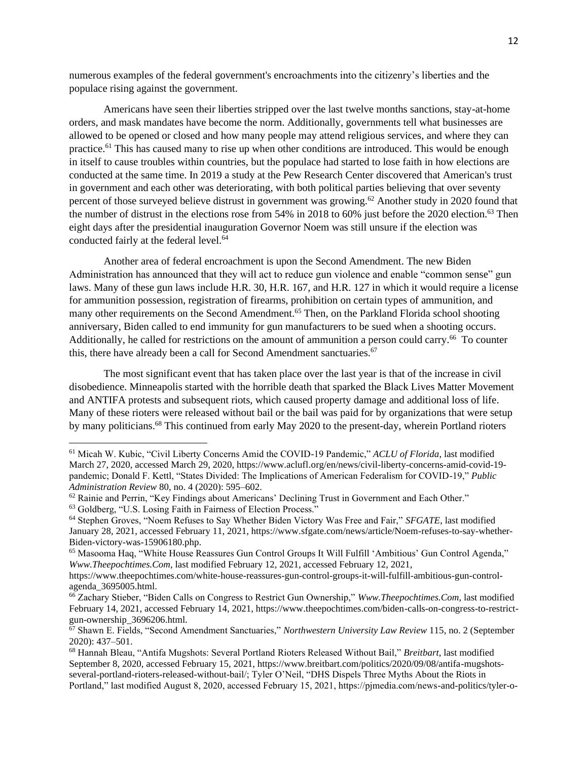numerous examples of the federal government's encroachments into the citizenry's liberties and the populace rising against the government.

Americans have seen their liberties stripped over the last twelve months sanctions, stay-at-home orders, and mask mandates have become the norm. Additionally, governments tell what businesses are allowed to be opened or closed and how many people may attend religious services, and where they can practice.<sup>61</sup> This has caused many to rise up when other conditions are introduced. This would be enough in itself to cause troubles within countries, but the populace had started to lose faith in how elections are conducted at the same time. In 2019 a study at the Pew Research Center discovered that American's trust in government and each other was deteriorating, with both political parties believing that over seventy percent of those surveyed believe distrust in government was growing.<sup>62</sup> Another study in 2020 found that the number of distrust in the elections rose from  $54\%$  in 2018 to 60% just before the 2020 election.<sup>63</sup> Then eight days after the presidential inauguration Governor Noem was still unsure if the election was conducted fairly at the federal level.<sup>64</sup>

Another area of federal encroachment is upon the Second Amendment. The new Biden Administration has announced that they will act to reduce gun violence and enable "common sense" gun laws. Many of these gun laws include H.R. 30, H.R. 167, and H.R. 127 in which it would require a license for ammunition possession, registration of firearms, prohibition on certain types of ammunition, and many other requirements on the Second Amendment.<sup>65</sup> Then, on the Parkland Florida school shooting anniversary, Biden called to end immunity for gun manufacturers to be sued when a shooting occurs. Additionally, he called for restrictions on the amount of ammunition a person could carry.<sup>66</sup> To counter this, there have already been a call for Second Amendment sanctuaries.<sup>67</sup>

The most significant event that has taken place over the last year is that of the increase in civil disobedience. Minneapolis started with the horrible death that sparked the Black Lives Matter Movement and ANTIFA protests and subsequent riots, which caused property damage and additional loss of life. Many of these rioters were released without bail or the bail was paid for by organizations that were setup by many politicians.<sup>68</sup> This continued from early May 2020 to the present-day, wherein Portland rioters

<sup>61</sup> Micah W. Kubic, "Civil Liberty Concerns Amid the COVID-19 Pandemic," *ACLU of Florida*, last modified March 27, 2020, accessed March 29, 2020, https://www.aclufl.org/en/news/civil-liberty-concerns-amid-covid-19 pandemic; Donald F. Kettl, "States Divided: The Implications of American Federalism for COVID-19," *Public Administration Review* 80, no. 4 (2020): 595–602.

 $62$  Rainie and Perrin, "Key Findings about Americans' Declining Trust in Government and Each Other."

<sup>63</sup> Goldberg, "U.S. Losing Faith in Fairness of Election Process."

<sup>64</sup> Stephen Groves, "Noem Refuses to Say Whether Biden Victory Was Free and Fair," *SFGATE*, last modified January 28, 2021, accessed February 11, 2021, https://www.sfgate.com/news/article/Noem-refuses-to-say-whether-Biden-victory-was-15906180.php.

<sup>&</sup>lt;sup>65</sup> Masooma Haq, "White House Reassures Gun Control Groups It Will Fulfill 'Ambitious' Gun Control Agenda," *Www.Theepochtimes.Com*, last modified February 12, 2021, accessed February 12, 2021,

https://www.theepochtimes.com/white-house-reassures-gun-control-groups-it-will-fulfill-ambitious-gun-controlagenda\_3695005.html.

<sup>66</sup> Zachary Stieber, "Biden Calls on Congress to Restrict Gun Ownership," *Www.Theepochtimes.Com*, last modified February 14, 2021, accessed February 14, 2021, https://www.theepochtimes.com/biden-calls-on-congress-to-restrictgun-ownership\_3696206.html.

<sup>67</sup> Shawn E. Fields, "Second Amendment Sanctuaries," *Northwestern University Law Review* 115, no. 2 (September 2020): 437–501.

<sup>68</sup> Hannah Bleau, "Antifa Mugshots: Several Portland Rioters Released Without Bail," *Breitbart*, last modified September 8, 2020, accessed February 15, 2021, https://www.breitbart.com/politics/2020/09/08/antifa-mugshotsseveral-portland-rioters-released-without-bail/; Tyler O'Neil, "DHS Dispels Three Myths About the Riots in Portland," last modified August 8, 2020, accessed February 15, 2021, https://pjmedia.com/news-and-politics/tyler-o-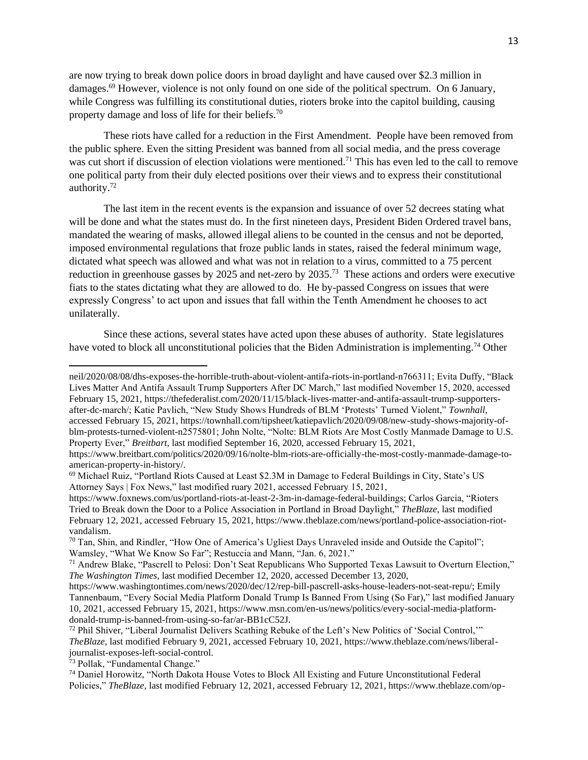are now trying to break down police doors in broad daylight and have caused over \$2.3 million in damages.<sup>69</sup> However, violence is not only found on one side of the political spectrum. On 6 January, while Congress was fulfilling its constitutional duties, rioters broke into the capitol building, causing property damage and loss of life for their beliefs.<sup>70</sup>

These riots have called for a reduction in the First Amendment. People have been removed from the public sphere. Even the sitting President was banned from all social media, and the press coverage was cut short if discussion of election violations were mentioned.<sup>71</sup> This has even led to the call to remove one political party from their duly elected positions over their views and to express their constitutional authority.<sup>72</sup>

The last item in the recent events is the expansion and issuance of over 52 decrees stating what will be done and what the states must do. In the first nineteen days, President Biden Ordered travel bans, mandated the wearing of masks, allowed illegal aliens to be counted in the census and not be deported, imposed environmental regulations that froze public lands in states, raised the federal minimum wage, dictated what speech was allowed and what was not in relation to a virus, committed to a 75 percent reduction in greenhouse gasses by 2025 and net-zero by 2035.<sup>73</sup> These actions and orders were executive fiats to the states dictating what they are allowed to do. He by-passed Congress on issues that were expressly Congress' to act upon and issues that fall within the Tenth Amendment he chooses to act unilaterally.

Since these actions, several states have acted upon these abuses of authority. State legislatures have voted to block all unconstitutional policies that the Biden Administration is implementing.<sup>74</sup> Other

neil/2020/08/08/dhs-exposes-the-horrible-truth-about-violent-antifa-riots-in-portland-n766311; Evita Duffy, "Black Lives Matter And Antifa Assault Trump Supporters After DC March," last modified November 15, 2020, accessed February 15, 2021, https://thefederalist.com/2020/11/15/black-lives-matter-and-antifa-assault-trump-supportersafter-dc-march/; Katie Pavlich, "New Study Shows Hundreds of BLM 'Protests' Turned Violent," *Townhall*, accessed February 15, 2021, https://townhall.com/tipsheet/katiepavlich/2020/09/08/new-study-shows-majority-ofblm-protests-turned-violent-n2575801; John Nolte, "Nolte: BLM Riots Are Most Costly Manmade Damage to U.S. Property Ever," *Breitbart*, last modified September 16, 2020, accessed February 15, 2021,

https://www.breitbart.com/politics/2020/09/16/nolte-blm-riots-are-officially-the-most-costly-manmade-damage-toamerican-property-in-history/.

<sup>69</sup> Michael Ruiz, "Portland Riots Caused at Least \$2.3M in Damage to Federal Buildings in City, State's US Attorney Says | Fox News," last modified ruary 2021, accessed February 15, 2021,

https://www.foxnews.com/us/portland-riots-at-least-2-3m-in-damage-federal-buildings; Carlos Garcia, "Rioters Tried to Break down the Door to a Police Association in Portland in Broad Daylight," *TheBlaze*, last modified February 12, 2021, accessed February 15, 2021, https://www.theblaze.com/news/portland-police-association-riotvandalism.

<sup>&</sup>lt;sup>70</sup> Tan, Shin, and Rindler, "How One of America's Ugliest Days Unraveled inside and Outside the Capitol"; Wamsley, "What We Know So Far"; Restuccia and Mann, "Jan. 6, 2021."

<sup>71</sup> Andrew Blake, "Pascrell to Pelosi: Don't Seat Republicans Who Supported Texas Lawsuit to Overturn Election," *The Washington Times*, last modified December 12, 2020, accessed December 13, 2020,

https://www.washingtontimes.com/news/2020/dec/12/rep-bill-pascrell-asks-house-leaders-not-seat-repu/; Emily Tannenbaum, "Every Social Media Platform Donald Trump Is Banned From Using (So Far)," last modified January 10, 2021, accessed February 15, 2021, https://www.msn.com/en-us/news/politics/every-social-media-platformdonald-trump-is-banned-from-using-so-far/ar-BB1cC52J.

<sup>72</sup> Phil Shiver, "Liberal Journalist Delivers Scathing Rebuke of the Left's New Politics of 'Social Control,'" *TheBlaze*, last modified February 9, 2021, accessed February 10, 2021, https://www.theblaze.com/news/liberaljournalist-exposes-left-social-control.

<sup>73</sup> Pollak, "Fundamental Change."

<sup>74</sup> Daniel Horowitz, "North Dakota House Votes to Block All Existing and Future Unconstitutional Federal Policies," *TheBlaze*, last modified February 12, 2021, accessed February 12, 2021, https://www.theblaze.com/op-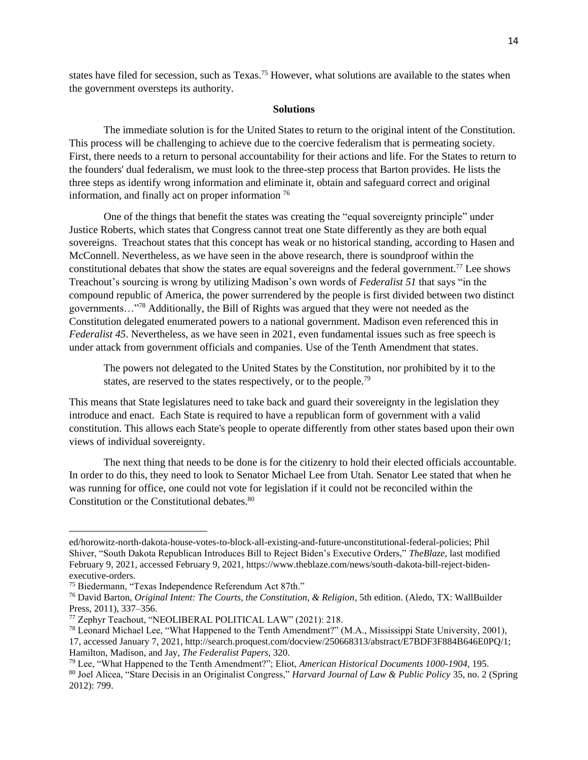states have filed for secession, such as Texas.<sup>75</sup> However, what solutions are available to the states when the government oversteps its authority.

#### **Solutions**

The immediate solution is for the United States to return to the original intent of the Constitution. This process will be challenging to achieve due to the coercive federalism that is permeating society. First, there needs to a return to personal accountability for their actions and life. For the States to return to the founders' dual federalism, we must look to the three-step process that Barton provides. He lists the three steps as identify wrong information and eliminate it, obtain and safeguard correct and original information, and finally act on proper information <sup>76</sup>

One of the things that benefit the states was creating the "equal sovereignty principle" under Justice Roberts, which states that Congress cannot treat one State differently as they are both equal sovereigns. Treachout states that this concept has weak or no historical standing, according to Hasen and McConnell. Nevertheless, as we have seen in the above research, there is soundproof within the constitutional debates that show the states are equal sovereigns and the federal government.<sup>77</sup> Lee shows Treachout's sourcing is wrong by utilizing Madison's own words of *Federalist 51* that says "in the compound republic of America, the power surrendered by the people is first divided between two distinct governments…"<sup>78</sup> Additionally, the Bill of Rights was argued that they were not needed as the Constitution delegated enumerated powers to a national government. Madison even referenced this in *Federalist 45*. Nevertheless, as we have seen in 2021, even fundamental issues such as free speech is under attack from government officials and companies. Use of the Tenth Amendment that states.

The powers not delegated to the United States by the Constitution, nor prohibited by it to the states, are reserved to the states respectively, or to the people.<sup>79</sup>

This means that State legislatures need to take back and guard their sovereignty in the legislation they introduce and enact. Each State is required to have a republican form of government with a valid constitution. This allows each State's people to operate differently from other states based upon their own views of individual sovereignty.

The next thing that needs to be done is for the citizenry to hold their elected officials accountable. In order to do this, they need to look to Senator Michael Lee from Utah. Senator Lee stated that when he was running for office, one could not vote for legislation if it could not be reconciled within the Constitution or the Constitutional debates.<sup>80</sup>

ed/horowitz-north-dakota-house-votes-to-block-all-existing-and-future-unconstitutional-federal-policies; Phil Shiver, "South Dakota Republican Introduces Bill to Reject Biden's Executive Orders," *TheBlaze*, last modified February 9, 2021, accessed February 9, 2021, https://www.theblaze.com/news/south-dakota-bill-reject-bidenexecutive-orders.

<sup>75</sup> Biedermann, "Texas Independence Referendum Act 87th."

<sup>76</sup> David Barton, *Original Intent: The Courts, the Constitution, & Religion*, 5th edition. (Aledo, TX: WallBuilder Press, 2011), 337–356.

<sup>77</sup> Zephyr Teachout, "NEOLIBERAL POLITICAL LAW" (2021): 218.

<sup>78</sup> Leonard Michael Lee, "What Happened to the Tenth Amendment?" (M.A., Mississippi State University, 2001), 17, accessed January 7, 2021, http://search.proquest.com/docview/250668313/abstract/E7BDF3F884B646E0PQ/1; Hamilton, Madison, and Jay, *The Federalist Papers*, 320.

<sup>79</sup> Lee, "What Happened to the Tenth Amendment?"; Eliot, *American Historical Documents 1000-1904*, 195.

<sup>80</sup> Joel Alicea, "Stare Decisis in an Originalist Congress," *Harvard Journal of Law & Public Policy* 35, no. 2 (Spring 2012): 799.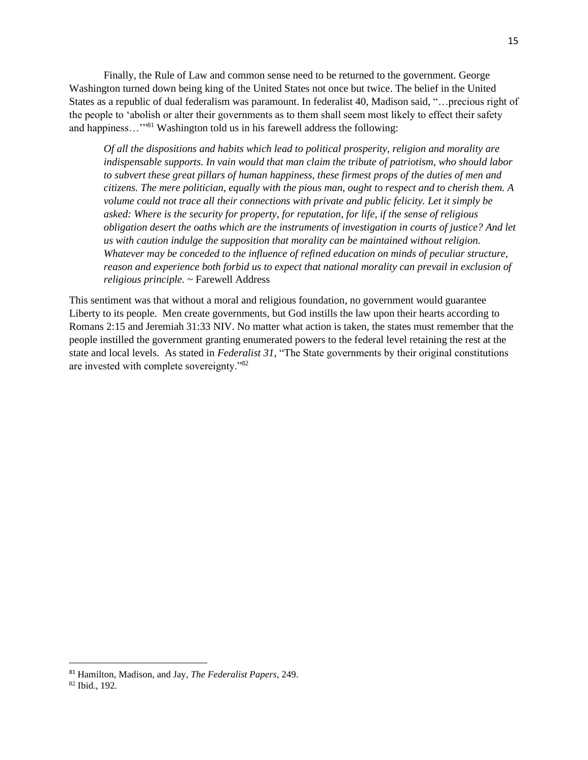Finally, the Rule of Law and common sense need to be returned to the government. George Washington turned down being king of the United States not once but twice. The belief in the United States as a republic of dual federalism was paramount. In federalist 40, Madison said, "…precious right of the people to 'abolish or alter their governments as to them shall seem most likely to effect their safety and happiness..."<sup>81</sup> Washington told us in his farewell address the following:

*Of all the dispositions and habits which lead to political prosperity, religion and morality are indispensable supports. In vain would that man claim the tribute of patriotism, who should labor to subvert these great pillars of human happiness, these firmest props of the duties of men and citizens. The mere politician, equally with the pious man, ought to respect and to cherish them. A volume could not trace all their connections with private and public felicity. Let it simply be asked: Where is the security for property, for reputation, for life, if the sense of religious obligation desert the oaths which are the instruments of investigation in courts of justice? And let us with caution indulge the supposition that morality can be maintained without religion. Whatever may be conceded to the influence of refined education on minds of peculiar structure, reason and experience both forbid us to expect that national morality can prevail in exclusion of religious principle.* ~ Farewell Address

This sentiment was that without a moral and religious foundation, no government would guarantee Liberty to its people. Men create governments, but God instills the law upon their hearts according to Romans 2:15 and Jeremiah 31:33 NIV. No matter what action is taken, the states must remember that the people instilled the government granting enumerated powers to the federal level retaining the rest at the state and local levels. As stated in *Federalist 31,* "The State governments by their original constitutions are invested with complete sovereignty."<sup>82</sup>

<sup>81</sup> Hamilton, Madison, and Jay, *The Federalist Papers*, 249.

<sup>82</sup> Ibid., 192.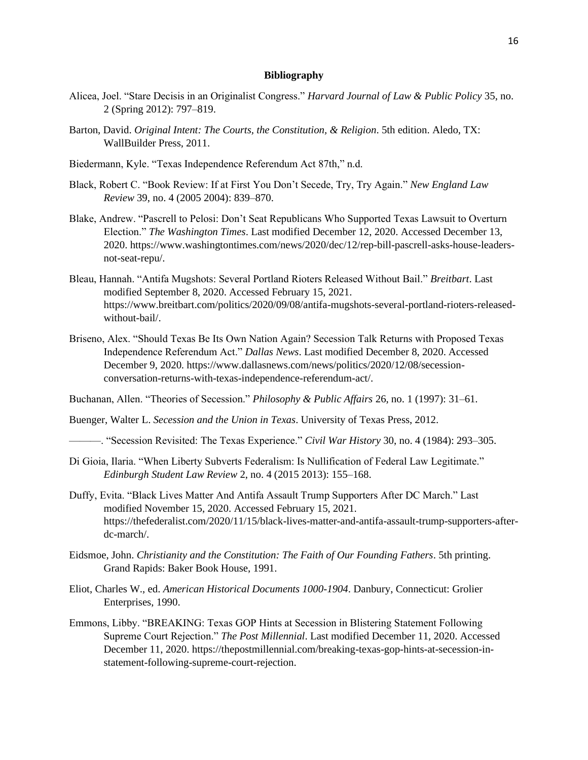### **Bibliography**

- Alicea, Joel. "Stare Decisis in an Originalist Congress." *Harvard Journal of Law & Public Policy* 35, no. 2 (Spring 2012): 797–819.
- Barton, David. *Original Intent: The Courts, the Constitution, & Religion*. 5th edition. Aledo, TX: WallBuilder Press, 2011.
- Biedermann, Kyle. "Texas Independence Referendum Act 87th," n.d.
- Black, Robert C. "Book Review: If at First You Don't Secede, Try, Try Again." *New England Law Review* 39, no. 4 (2005 2004): 839–870.
- Blake, Andrew. "Pascrell to Pelosi: Don't Seat Republicans Who Supported Texas Lawsuit to Overturn Election." *The Washington Times*. Last modified December 12, 2020. Accessed December 13, 2020. https://www.washingtontimes.com/news/2020/dec/12/rep-bill-pascrell-asks-house-leadersnot-seat-repu/.
- Bleau, Hannah. "Antifa Mugshots: Several Portland Rioters Released Without Bail." *Breitbart*. Last modified September 8, 2020. Accessed February 15, 2021. https://www.breitbart.com/politics/2020/09/08/antifa-mugshots-several-portland-rioters-releasedwithout-bail/.
- Briseno, Alex. "Should Texas Be Its Own Nation Again? Secession Talk Returns with Proposed Texas Independence Referendum Act." *Dallas News*. Last modified December 8, 2020. Accessed December 9, 2020. https://www.dallasnews.com/news/politics/2020/12/08/secessionconversation-returns-with-texas-independence-referendum-act/.
- Buchanan, Allen. "Theories of Secession." *Philosophy & Public Affairs* 26, no. 1 (1997): 31–61.
- Buenger, Walter L. *Secession and the Union in Texas*. University of Texas Press, 2012.
- ———. "Secession Revisited: The Texas Experience." *Civil War History* 30, no. 4 (1984): 293–305.
- Di Gioia, Ilaria. "When Liberty Subverts Federalism: Is Nullification of Federal Law Legitimate." *Edinburgh Student Law Review* 2, no. 4 (2015 2013): 155–168.
- Duffy, Evita. "Black Lives Matter And Antifa Assault Trump Supporters After DC March." Last modified November 15, 2020. Accessed February 15, 2021. https://thefederalist.com/2020/11/15/black-lives-matter-and-antifa-assault-trump-supporters-afterdc-march/.
- Eidsmoe, John. *Christianity and the Constitution: The Faith of Our Founding Fathers*. 5th printing. Grand Rapids: Baker Book House, 1991.
- Eliot, Charles W., ed. *American Historical Documents 1000-1904*. Danbury, Connecticut: Grolier Enterprises, 1990.
- Emmons, Libby. "BREAKING: Texas GOP Hints at Secession in Blistering Statement Following Supreme Court Rejection." *The Post Millennial*. Last modified December 11, 2020. Accessed December 11, 2020. https://thepostmillennial.com/breaking-texas-gop-hints-at-secession-instatement-following-supreme-court-rejection.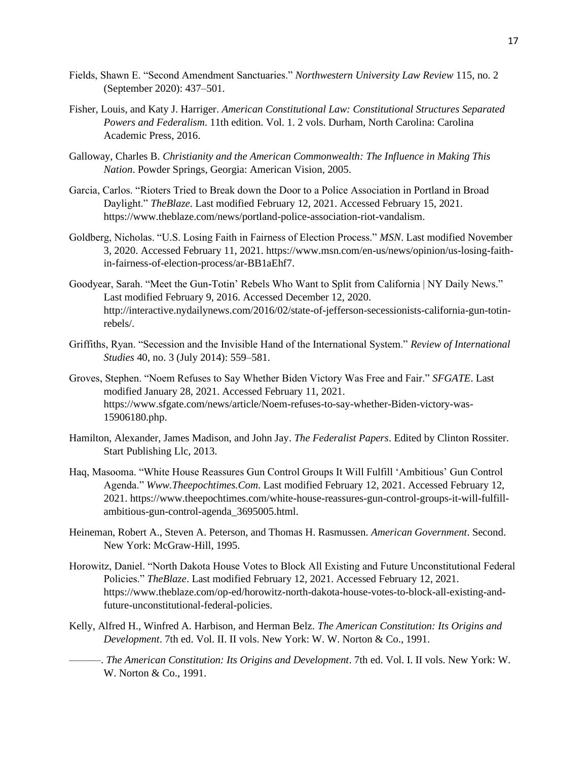- Fields, Shawn E. "Second Amendment Sanctuaries." *Northwestern University Law Review* 115, no. 2 (September 2020): 437–501.
- Fisher, Louis, and Katy J. Harriger. *American Constitutional Law: Constitutional Structures Separated Powers and Federalism*. 11th edition. Vol. 1. 2 vols. Durham, North Carolina: Carolina Academic Press, 2016.
- Galloway, Charles B. *Christianity and the American Commonwealth: The Influence in Making This Nation*. Powder Springs, Georgia: American Vision, 2005.
- Garcia, Carlos. "Rioters Tried to Break down the Door to a Police Association in Portland in Broad Daylight." *TheBlaze*. Last modified February 12, 2021. Accessed February 15, 2021. https://www.theblaze.com/news/portland-police-association-riot-vandalism.
- Goldberg, Nicholas. "U.S. Losing Faith in Fairness of Election Process." *MSN*. Last modified November 3, 2020. Accessed February 11, 2021. https://www.msn.com/en-us/news/opinion/us-losing-faithin-fairness-of-election-process/ar-BB1aEhf7.
- Goodyear, Sarah. "Meet the Gun-Totin' Rebels Who Want to Split from California | NY Daily News." Last modified February 9, 2016. Accessed December 12, 2020. http://interactive.nydailynews.com/2016/02/state-of-jefferson-secessionists-california-gun-totinrebels/.
- Griffiths, Ryan. "Secession and the Invisible Hand of the International System." *Review of International Studies* 40, no. 3 (July 2014): 559–581.
- Groves, Stephen. "Noem Refuses to Say Whether Biden Victory Was Free and Fair." *SFGATE*. Last modified January 28, 2021. Accessed February 11, 2021. https://www.sfgate.com/news/article/Noem-refuses-to-say-whether-Biden-victory-was-15906180.php.
- Hamilton, Alexander, James Madison, and John Jay. *The Federalist Papers*. Edited by Clinton Rossiter. Start Publishing Llc, 2013.
- Haq, Masooma. "White House Reassures Gun Control Groups It Will Fulfill 'Ambitious' Gun Control Agenda." *Www.Theepochtimes.Com*. Last modified February 12, 2021. Accessed February 12, 2021. https://www.theepochtimes.com/white-house-reassures-gun-control-groups-it-will-fulfillambitious-gun-control-agenda\_3695005.html.
- Heineman, Robert A., Steven A. Peterson, and Thomas H. Rasmussen. *American Government*. Second. New York: McGraw-Hill, 1995.
- Horowitz, Daniel. "North Dakota House Votes to Block All Existing and Future Unconstitutional Federal Policies." *TheBlaze*. Last modified February 12, 2021. Accessed February 12, 2021. https://www.theblaze.com/op-ed/horowitz-north-dakota-house-votes-to-block-all-existing-andfuture-unconstitutional-federal-policies.
- Kelly, Alfred H., Winfred A. Harbison, and Herman Belz. *The American Constitution: Its Origins and Development*. 7th ed. Vol. II. II vols. New York: W. W. Norton & Co., 1991.
	- ———. *The American Constitution: Its Origins and Development*. 7th ed. Vol. I. II vols. New York: W. W. Norton & Co., 1991.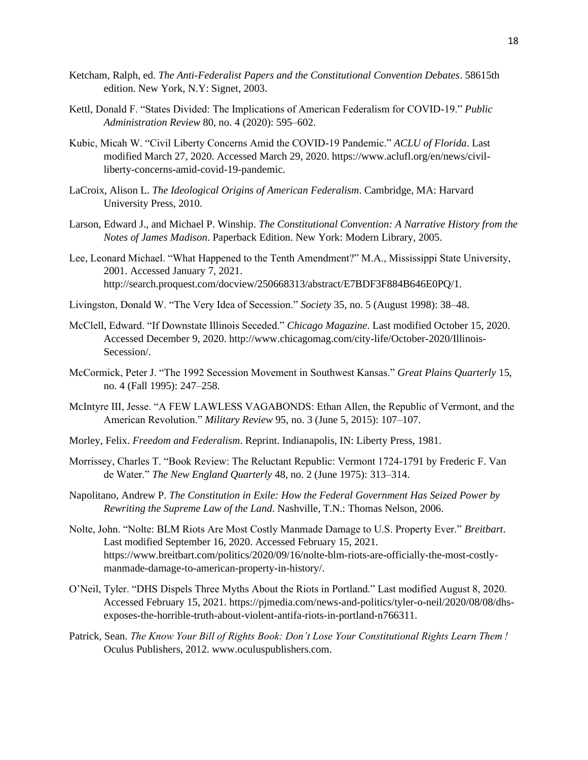- Ketcham, Ralph, ed. *The Anti-Federalist Papers and the Constitutional Convention Debates*. 58615th edition. New York, N.Y: Signet, 2003.
- Kettl, Donald F. "States Divided: The Implications of American Federalism for COVID-19." *Public Administration Review* 80, no. 4 (2020): 595–602.
- Kubic, Micah W. "Civil Liberty Concerns Amid the COVID-19 Pandemic." *ACLU of Florida*. Last modified March 27, 2020. Accessed March 29, 2020. https://www.aclufl.org/en/news/civilliberty-concerns-amid-covid-19-pandemic.
- LaCroix, Alison L. *The Ideological Origins of American Federalism*. Cambridge, MA: Harvard University Press, 2010.
- Larson, Edward J., and Michael P. Winship. *The Constitutional Convention: A Narrative History from the Notes of James Madison*. Paperback Edition. New York: Modern Library, 2005.
- Lee, Leonard Michael. "What Happened to the Tenth Amendment?" M.A., Mississippi State University, 2001. Accessed January 7, 2021. http://search.proquest.com/docview/250668313/abstract/E7BDF3F884B646E0PQ/1.
- Livingston, Donald W. "The Very Idea of Secession." *Society* 35, no. 5 (August 1998): 38–48.
- McClell, Edward. "If Downstate Illinois Seceded." *Chicago Magazine*. Last modified October 15, 2020. Accessed December 9, 2020. http://www.chicagomag.com/city-life/October-2020/Illinois-Secession/.
- McCormick, Peter J. "The 1992 Secession Movement in Southwest Kansas." *Great Plains Quarterly* 15, no. 4 (Fall 1995): 247–258.
- McIntyre III, Jesse. "A FEW LAWLESS VAGABONDS: Ethan Allen, the Republic of Vermont, and the American Revolution." *Military Review* 95, no. 3 (June 5, 2015): 107–107.
- Morley, Felix. *Freedom and Federalism*. Reprint. Indianapolis, IN: Liberty Press, 1981.
- Morrissey, Charles T. "Book Review: The Reluctant Republic: Vermont 1724-1791 by Frederic F. Van de Water." *The New England Quarterly* 48, no. 2 (June 1975): 313–314.
- Napolitano, Andrew P. *The Constitution in Exile: How the Federal Government Has Seized Power by Rewriting the Supreme Law of the Land*. Nashville, T.N.: Thomas Nelson, 2006.
- Nolte, John. "Nolte: BLM Riots Are Most Costly Manmade Damage to U.S. Property Ever." *Breitbart*. Last modified September 16, 2020. Accessed February 15, 2021. https://www.breitbart.com/politics/2020/09/16/nolte-blm-riots-are-officially-the-most-costlymanmade-damage-to-american-property-in-history/.
- O'Neil, Tyler. "DHS Dispels Three Myths About the Riots in Portland." Last modified August 8, 2020. Accessed February 15, 2021. https://pjmedia.com/news-and-politics/tyler-o-neil/2020/08/08/dhsexposes-the-horrible-truth-about-violent-antifa-riots-in-portland-n766311.
- Patrick, Sean. *The Know Your Bill of Rights Book: Don't Lose Your Constitutional Rights Learn Them !* Oculus Publishers, 2012. www.oculuspublishers.com.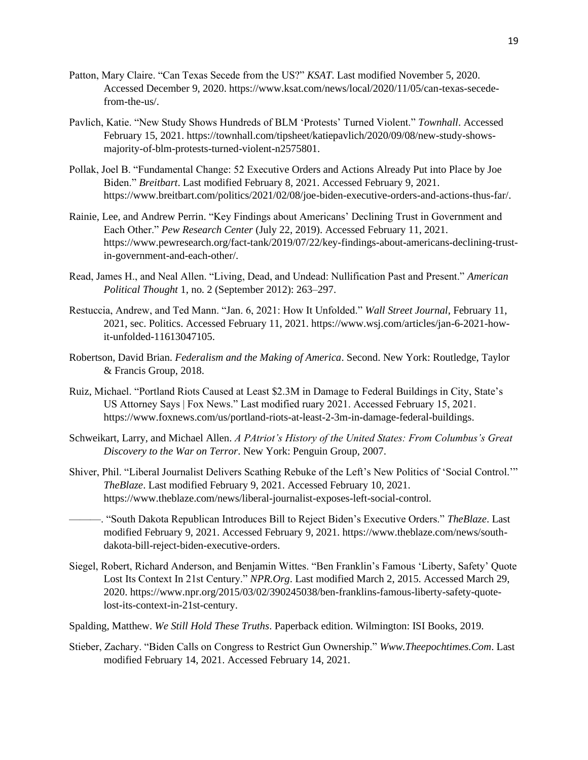- Patton, Mary Claire. "Can Texas Secede from the US?" *KSAT*. Last modified November 5, 2020. Accessed December 9, 2020. https://www.ksat.com/news/local/2020/11/05/can-texas-secedefrom-the-us/.
- Pavlich, Katie. "New Study Shows Hundreds of BLM 'Protests' Turned Violent." *Townhall*. Accessed February 15, 2021. https://townhall.com/tipsheet/katiepavlich/2020/09/08/new-study-showsmajority-of-blm-protests-turned-violent-n2575801.
- Pollak, Joel B. "Fundamental Change: 52 Executive Orders and Actions Already Put into Place by Joe Biden." *Breitbart*. Last modified February 8, 2021. Accessed February 9, 2021. https://www.breitbart.com/politics/2021/02/08/joe-biden-executive-orders-and-actions-thus-far/.
- Rainie, Lee, and Andrew Perrin. "Key Findings about Americans' Declining Trust in Government and Each Other." *Pew Research Center* (July 22, 2019). Accessed February 11, 2021. https://www.pewresearch.org/fact-tank/2019/07/22/key-findings-about-americans-declining-trustin-government-and-each-other/.
- Read, James H., and Neal Allen. "Living, Dead, and Undead: Nullification Past and Present." *American Political Thought* 1, no. 2 (September 2012): 263–297.
- Restuccia, Andrew, and Ted Mann. "Jan. 6, 2021: How It Unfolded." *Wall Street Journal*, February 11, 2021, sec. Politics. Accessed February 11, 2021. https://www.wsj.com/articles/jan-6-2021-howit-unfolded-11613047105.
- Robertson, David Brian. *Federalism and the Making of America*. Second. New York: Routledge, Taylor & Francis Group, 2018.
- Ruiz, Michael. "Portland Riots Caused at Least \$2.3M in Damage to Federal Buildings in City, State's US Attorney Says | Fox News." Last modified ruary 2021. Accessed February 15, 2021. https://www.foxnews.com/us/portland-riots-at-least-2-3m-in-damage-federal-buildings.
- Schweikart, Larry, and Michael Allen. *A PAtriot's History of the United States: From Columbus's Great Discovery to the War on Terror*. New York: Penguin Group, 2007.
- Shiver, Phil. "Liberal Journalist Delivers Scathing Rebuke of the Left's New Politics of 'Social Control.'" *TheBlaze*. Last modified February 9, 2021. Accessed February 10, 2021. https://www.theblaze.com/news/liberal-journalist-exposes-left-social-control.
	- ———. "South Dakota Republican Introduces Bill to Reject Biden's Executive Orders." *TheBlaze*. Last modified February 9, 2021. Accessed February 9, 2021. https://www.theblaze.com/news/southdakota-bill-reject-biden-executive-orders.
- Siegel, Robert, Richard Anderson, and Benjamin Wittes. "Ben Franklin's Famous 'Liberty, Safety' Quote Lost Its Context In 21st Century." *NPR.Org*. Last modified March 2, 2015. Accessed March 29, 2020. https://www.npr.org/2015/03/02/390245038/ben-franklins-famous-liberty-safety-quotelost-its-context-in-21st-century.
- Spalding, Matthew. *We Still Hold These Truths*. Paperback edition. Wilmington: ISI Books, 2019.
- Stieber, Zachary. "Biden Calls on Congress to Restrict Gun Ownership." *Www.Theepochtimes.Com*. Last modified February 14, 2021. Accessed February 14, 2021.